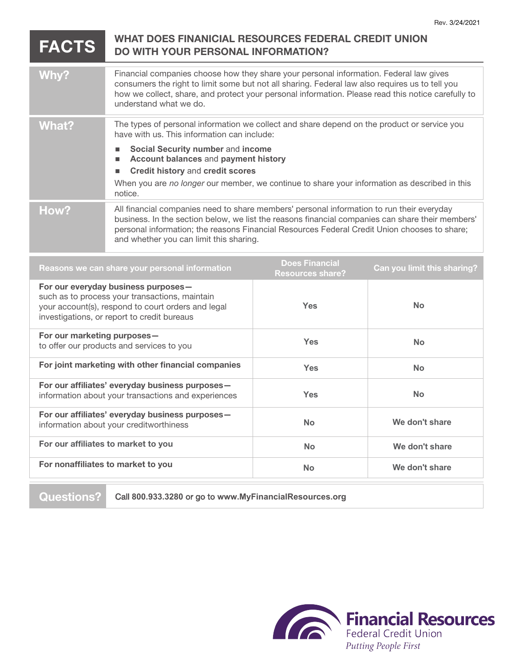## **FACTS WHAT DOES FINANICIAL RESOURCES FEDERAL CREDIT UNION DO WITH YOUR PERSONAL INFORMATION?**

| Why?  | Financial companies choose how they share your personal information. Federal law gives<br>consumers the right to limit some but not all sharing. Federal law also requires us to tell you<br>how we collect, share, and protect your personal information. Please read this notice carefully to<br>understand what we do.                                                      |
|-------|--------------------------------------------------------------------------------------------------------------------------------------------------------------------------------------------------------------------------------------------------------------------------------------------------------------------------------------------------------------------------------|
| What? | The types of personal information we collect and share depend on the product or service you<br>have with us. This information can include:<br>Social Security number and income<br>Account balances and payment history<br><b>Credit history and credit scores</b><br>When you are no longer our member, we continue to share your information as described in this<br>notice. |
| How?  | All financial companies need to share members' personal information to run their everyday<br>business. In the section below, we list the reasons financial companies can share their members'<br>personal information; the reasons Financial Resources Federal Credit Union chooses to share;<br>and whether you can limit this sharing.                                       |

| Reasons we can share your personal information                                                                                                                                             | <b>Does Financial</b><br><b>Resources share?</b> | Can you limit this sharing? |
|--------------------------------------------------------------------------------------------------------------------------------------------------------------------------------------------|--------------------------------------------------|-----------------------------|
| For our everyday business purposes-<br>such as to process your transactions, maintain<br>your account(s), respond to court orders and legal<br>investigations, or report to credit bureaus | <b>Yes</b>                                       | <b>No</b>                   |
| For our marketing purposes-<br>to offer our products and services to you                                                                                                                   | <b>Yes</b>                                       | <b>No</b>                   |
| For joint marketing with other financial companies                                                                                                                                         | <b>Yes</b>                                       | <b>No</b>                   |
| For our affiliates' everyday business purposes-<br>information about your transactions and experiences                                                                                     | Yes                                              | <b>No</b>                   |
| For our affiliates' everyday business purposes-<br>information about your creditworthiness                                                                                                 | <b>No</b>                                        | We don't share              |
| For our affiliates to market to you                                                                                                                                                        | <b>No</b>                                        | We don't share              |
| For nonaffiliates to market to you                                                                                                                                                         | <b>No</b>                                        | We don't share              |
|                                                                                                                                                                                            |                                                  |                             |

**Questions?** Call **800.933.3280** or go to **www.MyFinancialResources.org**